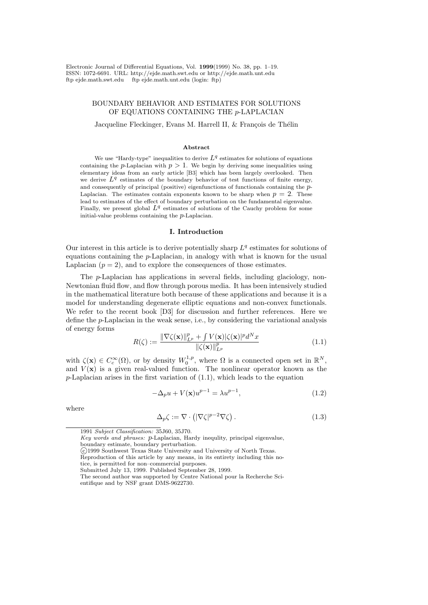Electronic Journal of Differential Equations, Vol. 1999(1999) No. 38, pp. 1–19. ISSN: 1072-6691. URL: http://ejde.math.swt.edu or http://ejde.math.unt.edu ftp ejde.math.swt.edu ftp ejde.math.unt.edu (login: ftp)

# BOUNDARY BEHAVIOR AND ESTIMATES FOR SOLUTIONS OF EQUATIONS CONTAINING THE p-LAPLACIAN

Jacqueline Fleckinger, Evans M. Harrell II, & François de Thélin

### Abstract

We use "Hardy-type" inequalities to derive  $L^q$  estimates for solutions of equations containing the p-Laplacian with  $p > 1$ . We begin by deriving some inequalities using elementary ideas from an early article [B3] which has been largely overlooked. Then we derive  $L^q$  estimates of the boundary behavior of test functions of finite energy, and consequently of principal (positive) eigenfunctions of functionals containing the p-Laplacian. The estimates contain exponents known to be sharp when  $p = 2$ . These lead to estimates of the effect of boundary perturbation on the fundamental eigenvalue. Finally, we present global  $L^q$  estimates of solutions of the Cauchy problem for some initial-value problems containing the  $p$ -Laplacian.

### I. Introduction

Our interest in this article is to derive potentially sharp  $L<sup>q</sup>$  estimates for solutions of equations containing the p-Laplacian, in analogy with what is known for the usual Laplacian  $(p = 2)$ , and to explore the consequences of those estimates.

The p-Laplacian has applications in several fields, including glaciology, non-Newtonian fluid flow, and flow through porous media. It has been intensively studied in the mathematical literature both because of these applications and because it is a model for understanding degenerate elliptic equations and non-convex functionals. We refer to the recent book [D3] for discussion and further references. Here we define the p-Laplacian in the weak sense, i.e., by considering the variational analysis of energy forms

$$
R(\zeta) := \frac{\|\nabla \zeta(\mathbf{x})\|_{L^p}^p + \int V(\mathbf{x}) |\zeta(\mathbf{x})|^p d^N x}{\|\zeta(\mathbf{x})\|_{L^p}^p}
$$
(1.1)

with  $\zeta(\mathbf{x}) \in C_c^{\infty}(\Omega)$ , or by density  $W_0^{1,p}$  $\mathbb{R}^{1,p}_{0}$ , where  $\Omega$  is a connected open set in  $\mathbb{R}^{N}$ , and  $V(\mathbf{x})$  is a given real-valued function. The nonlinear operator known as the  $p$ -Laplacian arises in the first variation of  $(1.1)$ , which leads to the equation

$$
-\Delta_p u + V(\mathbf{x})u^{p-1} = \lambda u^{p-1},\tag{1.2}
$$

where

$$
\Delta_p \zeta := \nabla \cdot \left( |\nabla \zeta|^{p-2} \nabla \zeta \right). \tag{1.3}
$$

1991 Subject Classification: 35J60, 35J70.

Key words and phrases: p-Laplacian, Hardy inequlity, principal eigenvalue, boundary estimate, boundary perturbation.

Reproduction of this article by any means, in its entirety including this notice, is permitted for non–commercial purposes.

c 1999 Southwest Texas State University and University of North Texas.

Submitted July 13, 1999. Published September 28, 1999.

The second author was supported by Centre National pour la Recherche Scientifique and by NSF grant DMS-9622730.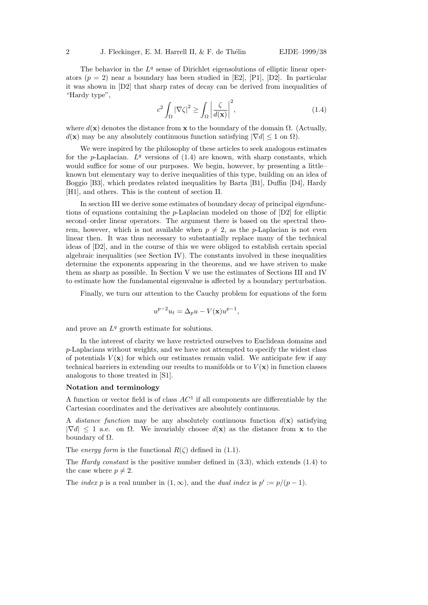The behavior in the  $L<sup>q</sup>$  sense of Dirichlet eigensolutions of elliptic linear operators  $(p = 2)$  near a boundary has been studied in [E2], [P1], [D2]. In particular it was shown in [D2] that sharp rates of decay can be derived from inequalities of "Hardy type",

$$
c^2 \int_{\Omega} |\nabla \zeta|^2 \ge \int_{\Omega} \left| \frac{\zeta}{d(\mathbf{x})} \right|^2,\tag{1.4}
$$

where  $d(\mathbf{x})$  denotes the distance from  $\mathbf{x}$  to the boundary of the domain  $\Omega$ . (Actually,  $d(\mathbf{x})$  may be any absolutely continuous function satisfying  $|\nabla d| \leq 1$  on  $\Omega$ ).

We were inspired by the philosophy of these articles to seek analogous estimates for the p-Laplacian.  $L^q$  versions of  $(1.4)$  are known, with sharp constants, which would suffice for some of our purposes. We begin, however, by presenting a little– known but elementary way to derive inequalities of this type, building on an idea of Boggio [B3], which predates related inequalities by Barta [B1], Duffin [D4], Hardy [H1], and others. This is the content of section II.

In section III we derive some estimates of boundary decay of principal eigenfunctions of equations containing the p-Laplacian modeled on those of [D2] for elliptic second–order linear operators. The argument there is based on the spectral theorem, however, which is not available when  $p \neq 2$ , as the p-Laplacian is not even linear then. It was thus necessary to substantially replace many of the technical ideas of [D2], and in the course of this we were obliged to establish certain special algebraic inequalities (see Section IV). The constants involved in these inequalities determine the exponents appearing in the theorems, and we have striven to make them as sharp as possible. In Section V we use the estimates of Sections III and IV to estimate how the fundamental eigenvalue is affected by a boundary perturbation.

Finally, we turn our attention to the Cauchy problem for equations of the form

$$
u^{p-2}u_t = \Delta_p u - V(\mathbf{x})u^{p-1},
$$

and prove an  $L^q$  growth estimate for solutions.

In the interest of clarity we have restricted ourselves to Euclidean domains and p-Laplacians without weights, and we have not attempted to specify the widest class of potentials  $V(\mathbf{x})$  for which our estimates remain valid. We anticipate few if any technical barriers in extending our results to manifolds or to  $V(\mathbf{x})$  in function classes analogous to those treated in [S1].

## Notation and terminology

A function or vector field is of class  $AC<sup>1</sup>$  if all components are differentiable by the Cartesian coordinates and the derivatives are absolutely continuous.

A distance function may be any absolutely continuous function  $d(\mathbf{x})$  satisfying  $|\nabla d| \leq 1$  a.e. on  $\Omega$ . We invariably choose  $d(\mathbf{x})$  as the distance from x to the boundary of  $Ω$ .

The energy form is the functional  $R(\zeta)$  defined in (1.1).

The Hardy constant is the positive number defined in (3.3), which extends (1.4) to the case where  $p \neq 2$ .

The *index* p is a real number in  $(1, \infty)$ , and the *dual index* is  $p' := p/(p-1)$ .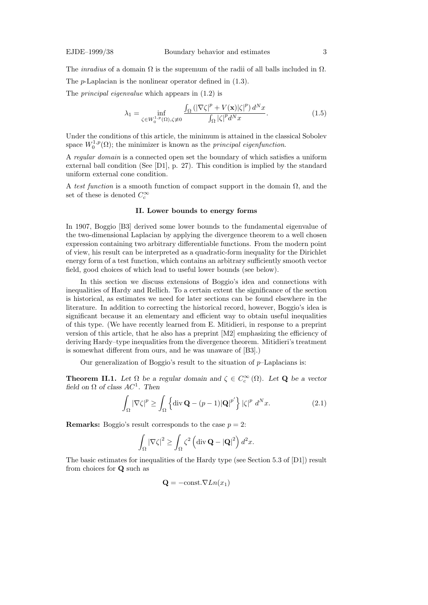The *inradius* of a domain  $\Omega$  is the supremum of the radii of all balls included in  $\Omega$ . The p-Laplacian is the nonlinear operator defined in (1.3).

The principal eigenvalue which appears in (1.2) is

$$
\lambda_1 = \inf_{\zeta \in W_0^{1,p}(\Omega), \zeta \neq 0} \frac{\int_{\Omega} \left( |\nabla \zeta|^p + V(\mathbf{x}) |\zeta|^p \right) d^N x}{\int_{\Omega} |\zeta|^p d^N x}.
$$
\n(1.5)

Under the conditions of this article, the minimum is attained in the classical Sobolev space  $W_0^{1,p}$  $\mathcal{O}_0^{1,p}(\Omega)$ ; the minimizer is known as the *principal eigenfunction*.

A regular domain is a connected open set the boundary of which satisfies a uniform external ball condition (See [D1], p. 27). This condition is implied by the standard uniform external cone condition.

A test function is a smooth function of compact support in the domain  $\Omega$ , and the set of these is denoted  $C_c^{\infty}$ 

## II. Lower bounds to energy forms

In 1907, Boggio [B3] derived some lower bounds to the fundamental eigenvalue of the two-dimensional Laplacian by applying the divergence theorem to a well chosen expression containing two arbitrary differentiable functions. From the modern point of view, his result can be interpreted as a quadratic-form inequality for the Dirichlet energy form of a test function, which contains an arbitrary sufficiently smooth vector field, good choices of which lead to useful lower bounds (see below).

In this section we discuss extensions of Boggio's idea and connections with inequalities of Hardy and Rellich. To a certain extent the significance of the section is historical, as estimates we need for later sections can be found elsewhere in the literature. In addition to correcting the historical record, however, Boggio's idea is significant because it an elementary and efficient way to obtain useful inequalities of this type. (We have recently learned from E. Mitidieri, in response to a preprint version of this article, that he also has a preprint [M2] emphasizing the efficiency of deriving Hardy–type inequalities from the divergence theorem. Mitidieri's treatment is somewhat different from ours, and he was unaware of [B3].)

Our generalization of Boggio's result to the situation of  $p$ -Laplacians is:

**Theorem II.1.** Let  $\Omega$  be a regular domain and  $\zeta \in C_c^{\infty}(\Omega)$ . Let **Q** be a vector field on  $\Omega$  of class  $AC^1$ . Then

$$
\int_{\Omega} |\nabla \zeta|^p \ge \int_{\Omega} \left\{ \mathrm{div} \, \mathbf{Q} - (p-1) |\mathbf{Q}|^{p'} \right\} |\zeta|^p \, d^N x. \tag{2.1}
$$

**Remarks:** Boggio's result corresponds to the case  $p = 2$ :

$$
\int_{\Omega} |\nabla \zeta|^2 \ge \int_{\Omega} \zeta^2 \left( \operatorname{div} \mathbf{Q} - |\mathbf{Q}|^2 \right) d^2 x.
$$

The basic estimates for inequalities of the Hardy type (see Section 5.3 of [D1]) result from choices for Q such as

$$
\mathbf{Q} = -\text{const.} \nabla Ln(x_1)
$$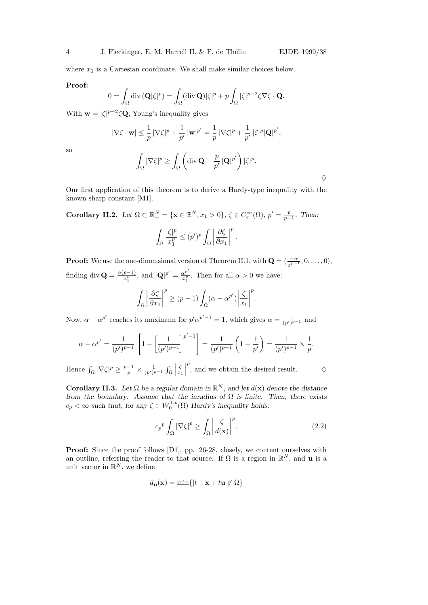$\diamondsuit$ 

where  $x_1$  is a Cartesian coordinate. We shall make similar choices below.

## Proof:

$$
0 = \int_{\Omega} \mathrm{div} \, (\mathbf{Q}|\zeta|^p) = \int_{\Omega} (\mathrm{div} \, \mathbf{Q}) |\zeta|^p + p \int_{\Omega} |\zeta|^{p-2} \zeta \nabla \zeta \cdot \mathbf{Q}.
$$

With  $\mathbf{w} = |\zeta|^{p-2} \zeta \mathbf{Q}$ , Young's inequality gives

$$
|\nabla \zeta \cdot \mathbf{w}| \leq \frac{1}{p} |\nabla \zeta|^p + \frac{1}{p'} |\mathbf{w}|^{p'} = \frac{1}{p} |\nabla \zeta|^p + \frac{1}{p'} |\zeta|^p |\mathbf{Q}|^{p'},
$$

so

$$
\int_{\Omega} |\nabla \zeta|^p \geq \int_{\Omega} \left( \operatorname{div} \mathbf{Q} - \frac{p}{p'} |\mathbf{Q}|^{p'} \right) |\zeta|^p.
$$

Our first application of this theorem is to derive a Hardy-type inequality with the known sharp constant [M1].

Corollary II.2. Let  $\Omega \subset \mathbb{R}^N_+ = \{ \mathbf{x} \in \mathbb{R}^N, x_1 > 0 \}, \zeta \in C_c^{\infty}(\Omega), p' = \frac{p}{p-1}$  $\frac{p}{p-1}$ . Then:

$$
\int_{\Omega} \frac{|\zeta|^p}{x_1^p} \le (p')^p \int_{\Omega} \left| \frac{\partial \zeta}{\partial x_1} \right|^p.
$$

**Proof:** We use the one-dimensional version of Theorem II.1, with  $\mathbf{Q} = (\frac{-\alpha}{x_1^{p-1}}, 0, \dots, 0),$ finding div  $\mathbf{Q} = \frac{\alpha(p-1)}{r^p}$  $\frac{p-1}{x_1^p}$ , and  $|\mathbf{Q}|^{p'} = \frac{\alpha^{p'}}{x_1^p}$  $\frac{\alpha^p}{x_1^p}$ . Then for all  $\alpha > 0$  we have:

$$
\int_{\Omega} \left| \frac{\partial \zeta}{\partial x_1} \right|^p \ge (p-1) \int_{\Omega} (\alpha - \alpha^{p'}) \left| \frac{\zeta}{x_1} \right|^p.
$$

Now,  $\alpha - \alpha^{p'}$  reaches its maximum for  $p' \alpha^{p'-1} = 1$ , which gives  $\alpha = \frac{1}{(p')^{p-1}}$  and

$$
\alpha - \alpha^{p'} = \frac{1}{(p')^{p-1}} \left[ 1 - \left[ \frac{1}{(p')^{p-1}} \right]^{p'-1} \right] = \frac{1}{(p')^{p-1}} \left( 1 - \frac{1}{p'} \right) = \frac{1}{(p')^{p-1}} \times \frac{1}{p}.
$$

Hence  $\int_{\Omega} |\nabla \zeta|^p \geq \frac{p-1}{p}$  $\frac{-1}{p} \times \frac{1}{(p')^{p-1}} \int_{\Omega}$ ζ  $\overline{x}_1$  $\begin{array}{c} \begin{array}{c} \begin{array}{c} \end{array} \\ \begin{array}{c} \end{array} \end{array} \end{array}$  $\stackrel{p}{\sim}$  , and we obtain the desired result.  $\qquad \diamondsuit$ 

Corollary II.3. Let  $\Omega$  be a regular domain in  $\mathbb{R}^N$ , and let  $d(\mathbf{x})$  denote the distance from the boundary. Assume that the inradius of  $\Omega$  is finite. Then, there exists  $c_p < \infty$  such that, for any  $\zeta \in W_0^{1,p}$  $\chi_0^{1,p}(\Omega)$  Hardy's inequality holds:

$$
c_p^p \int_{\Omega} |\nabla \zeta|^p \ge \int_{\Omega} \left| \frac{\zeta}{d(\mathbf{x})} \right|^p.
$$
 (2.2)

Proof: Since the proof follows [D1], pp. 26-28, closely, we content ourselves with an outline, referring the reader to that source. If  $\Omega$  is a region in  $\mathbb{R}^N$ , and **u** is a unit vector in  $\mathbb{R}^N$ , we define

$$
d_{\mathbf{u}}(\mathbf{x}) = \min\{|t| : \mathbf{x} + t\mathbf{u} \notin \Omega\}
$$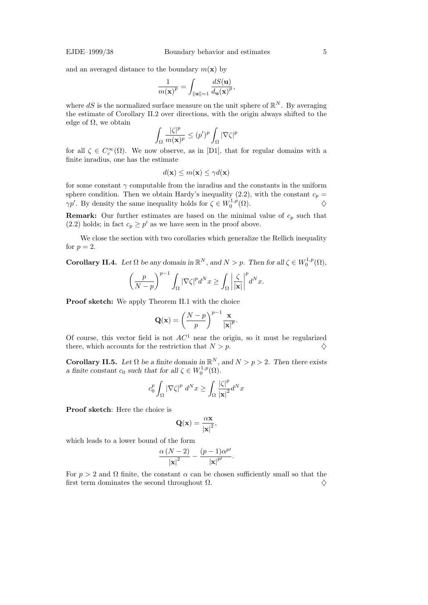and an averaged distance to the boundary  $m(\mathbf{x})$  by

$$
\frac{1}{m(\mathbf{x})^p} = \int_{\|\mathbf{u}\| = 1} \frac{dS(\mathbf{u})}{d\mathbf{u}(\mathbf{x})^p},
$$

where dS is the normalized surface measure on the unit sphere of  $\mathbb{R}^N$ . By averaging the estimate of Corollary II.2 over directions, with the origin always shifted to the edge of  $\Omega$ , we obtain

$$
\int_{\Omega} \frac{|\zeta|^p}{m(\mathbf{x})^p} \le (p')^p \int_{\Omega} |\nabla \zeta|^p
$$

for all  $\zeta \in C_c^{\infty}(\Omega)$ . We now observe, as in [D1], that for regular domains with a finite inradius, one has the estimate

$$
d(\mathbf{x}) \le m(\mathbf{x}) \le \gamma d(\mathbf{x})
$$

for some constant  $\gamma$  computable from the inradius and the constants in the uniform sphere condition. Then we obtain Hardy's inequality (2.2), with the constant  $c_p =$  $\gamma p'$ . By density the same inequality holds for  $\zeta \in W_0^{1,p}$  $\bigcirc^{\mathfrak{1},p}_{0}(\Omega).$ 

**Remark:** Our further estimates are based on the minimal value of  $c_p$  such that (2.2) holds; in fact  $c_p \geq p'$  as we have seen in the proof above.

We close the section with two corollaries which generalize the Rellich inequality for  $p=2$ .

**Corollary II.4.** Let  $\Omega$  be any domain in  $\mathbb{R}^N$ , and  $N > p$ . Then for all  $\zeta \in W_0^{1,p}$  $\zeta_0^{1,p}(\Omega),$ 

$$
\left(\frac{p}{N-p}\right)^{p-1} \int_{\Omega} |\nabla \zeta|^p d^N x \ge \int_{\Omega} \left|\frac{\zeta}{|\mathbf{x}|}\right|^p d^N x.
$$

Proof sketch: We apply Theorem II.1 with the choice

$$
\mathbf{Q}(\mathbf{x}) = \left(\frac{N-p}{p}\right)^{p-1} \frac{\mathbf{x}}{|\mathbf{x}|^p}.
$$

Of course, this vector field is not  $AC<sup>1</sup>$  near the origin, so it must be regularized there, which accounts for the restriction that  $N > p$ .

Corollary II.5. Let  $\Omega$  be a finite domain in  $\mathbb{R}^N$ , and  $N > p > 2$ . Then there exists a finite constant  $c_0$  such that for all  $\zeta \in W_0^{1,p}$  $\mathcal{L}_0^{1,p}(\Omega)$ .

$$
c_0^p \int_{\Omega} \left|\nabla \zeta\right|^p \, d^N x \ge \int_{\Omega} \frac{\left|\zeta\right|^p}{\left|\mathbf{x}\right|^2} d^N x
$$

Proof sketch: Here the choice is

$$
\mathbf{Q}(\mathbf{x}) = \frac{\alpha \mathbf{x}}{|\mathbf{x}|^2},
$$

which leads to a lower bound of the form

$$
\frac{\alpha (N-2)}{\left|\mathbf{x}\right|^2} - \frac{(p-1)\alpha^{p'}}{\left|\mathbf{x}\right|^{p'}}.
$$

For  $p > 2$  and  $\Omega$  finite, the constant  $\alpha$  can be chosen sufficiently small so that the first term dominates the second throughout  $\Omega$ .  $\diamondsuit$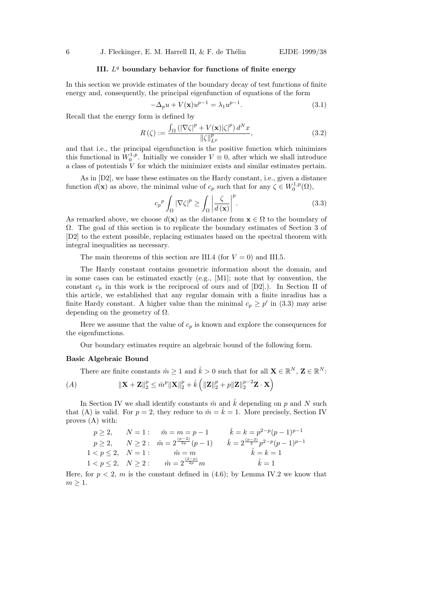# III.  $L<sup>q</sup>$  boundary behavior for functions of finite energy

In this section we provide estimates of the boundary decay of test functions of finite energy and, consequently, the principal eigenfunction of equations of the form

$$
-\Delta_p u + V(\mathbf{x})u^{p-1} = \lambda_1 u^{p-1}.
$$
\n(3.1)

Recall that the energy form is defined by

$$
R(\zeta) := \frac{\int_{\Omega} \left( |\nabla \zeta|^p + V(\mathbf{x}) |\zeta|^p \right) d^N x}{\|\zeta\|_{L^p}^p},\tag{3.2}
$$

and that i.e., the principal eigenfunction is the positive function which minimizes this functional in  $W_0^{1,p}$  $0^{1,p}$ . Initially we consider  $V \equiv 0$ , after which we shall introduce a class of potentials  $V$  for which the minimizer exists and similar estimates pertain.

As in [D2], we base these estimates on the Hardy constant, i.e., given a distance function  $d(\mathbf{x})$  as above, the minimal value of  $c_p$  such that for any  $\zeta \in W_0^{1,p}$  $\mathfrak{c}^{1,p}_0(\Omega),$ 

$$
c_p^p \int_{\Omega} \left| \nabla \zeta \right|^p \ge \int_{\Omega} \left| \frac{\zeta}{d(\mathbf{x})} \right|^p. \tag{3.3}
$$

As remarked above, we choose  $d(\mathbf{x})$  as the distance from  $\mathbf{x} \in \Omega$  to the boundary of Ω. The goal of this section is to replicate the boundary estimates of Section 3 of [D2] to the extent possible, replacing estimates based on the spectral theorem with integral inequalities as necessary.

The main theorems of this section are III.4 (for  $V = 0$ ) and III.5.

The Hardy constant contains geometric information about the domain, and in some cases can be estimated exactly (e.g., [M1]; note that by convention, the constant  $c_p$  in this work is the reciprocal of ours and of  $[D2]$ .). In Section II of this article, we established that any regular domain with a finite inradius has a finite Hardy constant. A higher value than the minimal  $c_p \geq p'$  in (3.3) may arise depending on the geometry of  $\Omega$ .

Here we assume that the value of  $c_p$  is known and explore the consequences for the eigenfunctions.

Our boundary estimates require an algebraic bound of the following form.

#### Basic Algebraic Bound

There are finite constants  $\hat{m} \geq 1$  and  $\hat{k} > 0$  such that for all  $\mathbf{X} \in \mathbb{R}^{N}$ ,  $\mathbf{Z} \in \mathbb{R}^{N}$ : (A)  $\|\mathbf{X} + \mathbf{Z}\|_2^p \leq \hat{m}^p \|\mathbf{X}\|_2^p + \hat{k} \left( \|\mathbf{Z}\|_2^p + p \|\mathbf{Z}\|_2^{p-2} \mathbf{Z} \cdot \mathbf{X} \right)$ 

In Section IV we shall identify constants  $\hat{m}$  and  $\hat{k}$  depending on p and N such that (A) is valid. For  $p = 2$ , they reduce to  $\hat{m} = \hat{k} = 1$ . More precisely, Section IV proves (A) with:

$$
p \ge 2, \quad N = 1: \quad \hat{m} = m = p - 1 \qquad \hat{k} = k = p^{2-p}(p - 1)^{p-1}
$$
  
\n
$$
p \ge 2, \quad N \ge 2: \quad \hat{m} = 2^{\frac{(p-2)}{2p}}(p-1) \qquad \hat{k} = 2^{\frac{(p-2)}{2}}p^{2-p}(p-1)^{p-1}
$$
  
\n
$$
1 < p \le 2, \quad N = 1: \qquad \hat{m} = m \qquad \hat{k} = k = 1
$$
  
\n
$$
1 < p \le 2, \quad N \ge 2: \qquad \hat{m} = 2^{\frac{(2-p)}{2p}}m \qquad \hat{k} = 1
$$

Here, for  $p < 2$ , m is the constant defined in (4.6); by Lemma IV.2 we know that  $m \geq 1$ .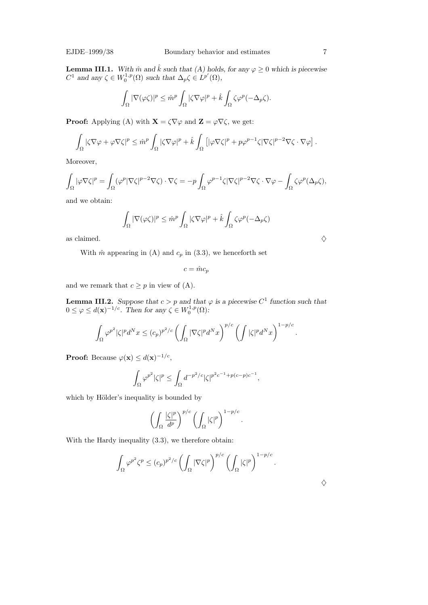**Lemma III.1.** With  $\hat{m}$  and  $\hat{k}$  such that (A) holds, for any  $\varphi \geq 0$  which is piecewise  $C^1$  and any  $\zeta \in W_0^{1,p}$  $L_0^{1,p}(\Omega)$  such that  $\Delta_p \zeta \in L^{p'}(\Omega)$ ,

$$
\int_{\Omega} |\nabla(\varphi \zeta)|^p \leq \hat{m}^p \int_{\Omega} |\zeta \nabla \varphi|^p + \hat{k} \int_{\Omega} \zeta \varphi^p (-\Delta_p \zeta).
$$

**Proof:** Applying (A) with  $\mathbf{X} = \zeta \nabla \varphi$  and  $\mathbf{Z} = \varphi \nabla \zeta$ , we get:

$$
\int_{\Omega} |\zeta \nabla \varphi + \varphi \nabla \zeta|^p \leq \hat{m}^p \int_{\Omega} |\zeta \nabla \varphi|^p + \hat{k} \int_{\Omega} \left[ |\varphi \nabla \zeta|^p + p \varphi^{p-1} \zeta |\nabla \zeta|^{p-2} \nabla \zeta \cdot \nabla \varphi \right].
$$

Moreover,

$$
\int_{\Omega} |\varphi \nabla \zeta|^{p} = \int_{\Omega} (\varphi^{p} |\nabla \zeta|^{p-2} \nabla \zeta) \cdot \nabla \zeta = -p \int_{\Omega} \varphi^{p-1} \zeta |\nabla \zeta|^{p-2} \nabla \zeta \cdot \nabla \varphi - \int_{\Omega} \zeta \varphi^{p} (\Delta_{p} \zeta),
$$

and we obtain:

$$
\int_{\Omega} |\nabla(\varphi \zeta)|^p \leq \hat{m}^p \int_{\Omega} |\zeta \nabla \varphi|^p + \hat{k} \int_{\Omega} \zeta \varphi^p (-\Delta_p \zeta)
$$

as claimed.  $\Diamond$ 

With  $\hat{m}$  appearing in (A) and  $c_p$  in (3.3), we henceforth set

 $c = \hat{m}c_p$ 

and we remark that  $c \geq p$  in view of (A).

**Lemma III.2.** Suppose that  $c > p$  and that  $\varphi$  is a piecewise  $C^1$  function such that  $0 \leq \varphi \leq d(\mathbf{x})^{-1/c}$ . Then for any  $\zeta \in W_0^{1,p}$  $\mathcal{C}_0^{1,p}(\Omega)$ :

$$
\int_{\Omega} \varphi^{p^2} |\zeta|^p d^N x \le (c_p)^{p^2/c} \left( \int_{\Omega} |\nabla \zeta|^p d^N x \right)^{p/c} \left( \int |\zeta|^p d^N x \right)^{1-p/c}.
$$

**Proof:** Because  $\varphi(\mathbf{x}) \leq d(\mathbf{x})^{-1/c}$ ,

$$
\int_{\Omega}\varphi^{p^2}|\zeta|^p\leq \int_{\Omega}d^{-p^2/c}|\zeta|^{p^2c^{-1}+p(c-p)c^{-1}},
$$

which by Hölder's inequality is bounded by

$$
\left(\int_{\Omega} \frac{|\zeta|^p}{d^p}\right)^{p/c} \left(\int_{\Omega} |\zeta|^p\right)^{1-p/c}.
$$

With the Hardy inequality (3.3), we therefore obtain:

$$
\int_{\Omega} \varphi^{p^2} \zeta^p \le (c_p)^{p^2/c} \left( \int_{\Omega} |\nabla \zeta|^p \right)^{p/c} \left( \int_{\Omega} |\zeta|^p \right)^{1-p/c}.
$$

 $\diamondsuit$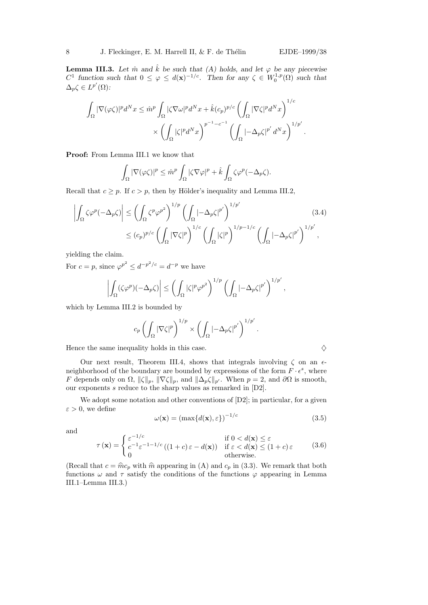$$
\int_{\Omega} |\nabla(\varphi \zeta)|^p d^N x \leq \hat{m}^p \int_{\Omega} |\zeta \nabla \omega|^p d^N x + \hat{k}(c_p)^{p/c} \left( \int_{\Omega} |\nabla \zeta|^p d^N x \right)^{1/c} \times \left( \int_{\Omega} |\zeta|^p d^N x \right)^{p^{-1} - c^{-1}} \left( \int_{\Omega} |-\Delta_p \zeta|^{p'} d^N x \right)^{1/p'}.
$$

Proof: From Lemma III.1 we know that

$$
\int_{\Omega} |\nabla(\varphi \zeta)|^p \leq \hat{m}^p \int_{\Omega} |\zeta \nabla \varphi|^p + \hat{k} \int_{\Omega} \zeta \varphi^p (-\Delta_p \zeta).
$$

Recall that  $c \geq p$ . If  $c > p$ , then by Hölder's inequality and Lemma III.2,

$$
\left| \int_{\Omega} \zeta \varphi^p (-\Delta_p \zeta) \right| \leq \left( \int_{\Omega} \zeta^p \varphi^{p^2} \right)^{1/p} \left( \int_{\Omega} \left| -\Delta_p \zeta \right|^{p'} \right)^{1/p'} \leq (c_p)^{p/c} \left( \int_{\Omega} |\nabla \zeta|^p \right)^{1/c} \left( \int_{\Omega} |\zeta|^p \right)^{1/p - 1/c} \left( \int_{\Omega} \left| -\Delta_p \zeta \right|^{p'} \right)^{1/p'},
$$
\n(3.4)

yielding the claim.

For  $c = p$ , since  $\varphi^{p^2} \leq d^{-p^2/c} = d^{-p}$  we have

$$
\left|\int_{\Omega} (\zeta \varphi^p)(-\Delta_p \zeta)\right| \leq \left(\int_{\Omega} |\zeta|^p \varphi^{p^2}\right)^{1/p} \left(\int_{\Omega} -\Delta_p \zeta \big|^{p'}\right)^{1/p'},
$$

which by Lemma III.2 is bounded by

$$
c_p \left( \int_{\Omega} |\nabla \zeta|^p \right)^{1/p} \times \left( \int_{\Omega} |-\Delta_p \zeta|^{p'} \right)^{1/p'}.
$$

Hence the same inequality holds in this case.  $\Diamond$ 

Our next result, Theorem III.4, shows that integrals involving  $\zeta$  on an  $\epsilon$ neighborhood of the boundary are bounded by expressions of the form  $F \cdot \epsilon^s$ , where F depends only on  $\Omega$ ,  $\|\zeta\|_p$ ,  $\|\nabla \zeta\|_p$ , and  $\|\Delta_p \zeta\|_{p'}$ . When  $p = 2$ , and  $\partial \Omega$  is smooth, our exponents  $s$  reduce to the sharp values as remarked in  $[D2]$ .

We adopt some notation and other conventions of  $[D2]$ ; in particular, for a given  $\varepsilon > 0$ , we define

$$
\omega(\mathbf{x}) = (\max\{d(\mathbf{x}), \varepsilon\})^{-1/c}
$$
\n(3.5)

and

$$
\tau(\mathbf{x}) = \begin{cases} \varepsilon^{-1/c} & \text{if } 0 < d(\mathbf{x}) \le \varepsilon \\ c^{-1} \varepsilon^{-1/2} \left( (1+c) \varepsilon - d(\mathbf{x}) \right) & \text{if } \varepsilon < d(\mathbf{x}) \le (1+c) \varepsilon \\ 0 & \text{otherwise.} \end{cases} \tag{3.6}
$$

(Recall that  $c = \hat{m}c_p$  with  $\hat{m}$  appearing in (A) and  $c_p$  in (3.3). We remark that both functions  $\omega$  and  $\tau$  satisfy the conditions of the functions  $\varphi$  appearing in Lemma III.1–Lemma III.3.)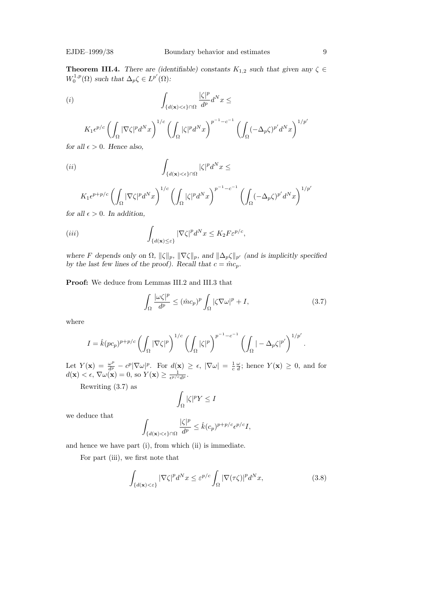**Theorem III.4.** There are (identifiable) constants  $K_{1,2}$  such that given any  $\zeta \in$  $W_0^{1,p}$  $L_0^{1,p}(\Omega)$  such that  $\Delta_p \zeta \in L^{p'}(\Omega)$ :

$$
(i) \qquad \qquad \int_{\{d(\mathbf{x}) < \epsilon\} \cap \Omega} \frac{|\zeta|^p}{d^p} d^N x \le
$$

$$
K_1 \epsilon^{p/c} \left( \int_{\Omega} |\nabla \zeta|^p d^N x \right)^{1/c} \left( \int_{\Omega} |\zeta|^p d^N x \right)^{p^{-1} - c^{-1}} \left( \int_{\Omega} (-\Delta_p \zeta)^{p'} d^N x \right)^{1/p'}
$$

for all  $\epsilon > 0$ . Hence also,

$$
(ii) \qquad \qquad \int_{\{d(\mathbf{x}) < \epsilon\} \cap \Omega} |\zeta|^p d^N x \le
$$

$$
K_1 \epsilon^{p+p/c} \left( \int_{\Omega} |\nabla \zeta|^p d^N x \right)^{1/c} \left( \int_{\Omega} |\zeta|^p d^N x \right)^{p^{-1}-c^{-1}} \left( \int_{\Omega} (-\Delta_p \zeta)^{p'} d^N x \right)^{1/p'}
$$

for all  $\epsilon > 0$ . In addition,

$$
\text{(iii)} \qquad \qquad \int_{\{d(\mathbf{x}) \leq \varepsilon\}} |\nabla \zeta|^p d^N x \leq K_2 F \varepsilon^{p/c},
$$

where F depends only on  $\Omega$ ,  $\|\zeta\|_p$ ,  $\|\nabla \zeta\|_p$ , and  $\|\Delta_p \zeta\|_{p'}$  (and is implicitly specified by the last few lines of the proof). Recall that  $c = \hat{m}c_p$ .

Proof: We deduce from Lemmas III.2 and III.3 that

$$
\int_{\Omega} \frac{|\omega \zeta|^p}{d^p} \le (\hat{m}c_p)^p \int_{\Omega} |\zeta \nabla \omega|^p + I,\tag{3.7}
$$

.

where

$$
I = \hat{k}(pc_p)^{p+p/c} \left( \int_{\Omega} |\nabla \zeta|^p \right)^{1/c} \left( \int_{\Omega} |\zeta|^p \right)^{p^{-1}-c^{-1}} \left( \int_{\Omega} |-\Delta_p \zeta|^{p'} \right)^{1/p'}
$$

Let  $Y(\mathbf{x}) = \frac{\omega^p}{d^p} - c^p |\nabla \omega|^p$ . For  $d(\mathbf{x}) \geq \epsilon$ ,  $|\nabla \omega| = \frac{1}{c}$ c ω  $\frac{\omega}{d}$ ; hence  $Y(\mathbf{x}) \geq 0$ , and for  $d(\mathbf{x}) < \epsilon, \nabla \omega(\mathbf{x}) = 0$ , so  $Y(\mathbf{x}) \geq \frac{1}{\epsilon^{p/\epsilon}}$  $\frac{1}{\epsilon^{p/c} d^p}$  .

Rewriting (3.7) as

$$
\int_{\Omega} |\zeta|^p Y \leq I
$$

we deduce that

$$
\int_{\{d(\mathbf{x}) < \epsilon\} \cap \Omega} \frac{|\zeta|^p}{d^p} \le \hat{k}(c_p)^{p+p/c} \epsilon^{p/c} I,
$$

and hence we have part (i), from which (ii) is immediate.

For part (iii), we first note that

$$
\int_{\{d(\mathbf{x}) < \varepsilon\}} |\nabla \zeta|^p d^N x \le \varepsilon^{p/c} \int_{\Omega} |\nabla (\tau \zeta)|^p d^N x,\tag{3.8}
$$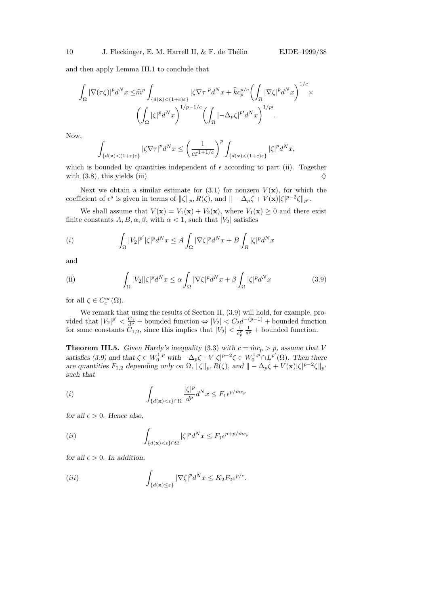and then apply Lemma III.1 to conclude that

$$
\int_{\Omega} |\nabla(\tau\zeta)|^p d^N x \leq \widehat{m}^p \int_{\{d(\mathbf{x}) < (1+c)\varepsilon\}} |\zeta \nabla \tau|^p d^N x + \widehat{k} c_p^{p/c} \left( \int_{\Omega} |\nabla \zeta|^p d^N x \right)^{1/c} \times \left( \int_{\Omega} |\zeta|^p d^N x \right)^{1/p-1/c} \left( \int_{\Omega} |-\Delta_p \zeta|^{p'} d^N x \right)^{1/p'}.
$$

Now,

$$
\int_{\{d(\mathbf{x}) < (1+c)\varepsilon\}}{|\zeta\nabla\tau|^p d^N x} \leq \left(\frac{1}{c\varepsilon^{1+1/c}}\right)^p \int_{\{d(\mathbf{x}) < (1+c)\varepsilon\}}{|\zeta|^p d^N x},
$$

which is bounded by quantities independent of  $\epsilon$  according to part (ii). Together with (3.8), this yields (iii).  $\diamondsuit$ 

Next we obtain a similar estimate for  $(3.1)$  for nonzero  $V(\mathbf{x})$ , for which the coefficient of  $\epsilon^s$  is given in terms of  $\|\zeta\|_p$ ,  $R(\zeta)$ , and  $\| - \Delta_p \zeta + V(\mathbf{x}) |\zeta|^{p-2} \zeta \|_{p'}$ .

We shall assume that  $V(\mathbf{x}) = V_1(\mathbf{x}) + V_2(\mathbf{x})$ , where  $V_1(\mathbf{x}) \geq 0$  and there exist finite constants  $A, B, \alpha, \beta$ , with  $\alpha < 1$ , such that  $|V_2|$  satisfies

$$
(i) \qquad \int_{\Omega} |V_2|^{p'} |\zeta|^p d^N x \le A \int_{\Omega} |\nabla \zeta|^p d^N x + B \int_{\Omega} |\zeta|^p d^N x
$$

and

(ii) 
$$
\int_{\Omega} |V_2||\zeta|^p d^N x \leq \alpha \int_{\Omega} |\nabla \zeta|^p d^N x + \beta \int_{\Omega} |\zeta|^p d^N x \qquad (3.9)
$$

for all  $\zeta \in C_c^{\infty}(\Omega)$ .

We remark that using the results of Section II, (3.9) will hold, for example, provided that  $|V_2|^{p'} < \frac{C_1}{d^p}$  + bounded function  $\Leftrightarrow |V_2| < C_2 d^{-(p-1)}$  + bounded function for some constants  $\ddot{C}_{1,2}$ , since this implies that  $|V_2| < \frac{1}{c^2}$  $\overline{c_p^p}$  $\frac{1}{d^p}$  + bounded function.

**Theorem III.5.** Given Hardy's inequality (3.3) with  $c = \hat{m}c_p > p$ , assume that V satisfies (3.9) and that  $\zeta \in W_0^{1,p}$  with  $-\Delta_p \zeta + V|\zeta|^{p-2} \zeta \in W_0^{1,p} \cap L^{p'}(\Omega)$ . Then there are quantities  $F_{1,2}$  depending only on  $\Omega$ ,  $\|\zeta\|_p$ ,  $R(\zeta)$ , and  $\|\sim \Delta_p \zeta + V(\mathbf{x}) |\zeta|^{p-2} \zeta\|_{p'}$ such that

$$
(i) \qquad \qquad \int_{\{d(\mathbf{x}) < \epsilon\} \cap \Omega} \frac{|\zeta|^p}{d^p} d^N x \le F_1 \epsilon^{p/mc_p}
$$

for all  $\epsilon > 0$ . Hence also,

$$
(ii) \qquad \qquad \int_{\{d(\mathbf{x}) < \epsilon\} \cap \Omega} |\zeta|^p d^N x \le F_1 \epsilon^{p+p/\hat{m}c_p}
$$

for all  $\epsilon > 0$ . In addition,

$$
\int_{\{d(\mathbf{x}) \leq \varepsilon\}} |\nabla \zeta|^p d^N x \leq K_2 F_2 \varepsilon^{p/c}.
$$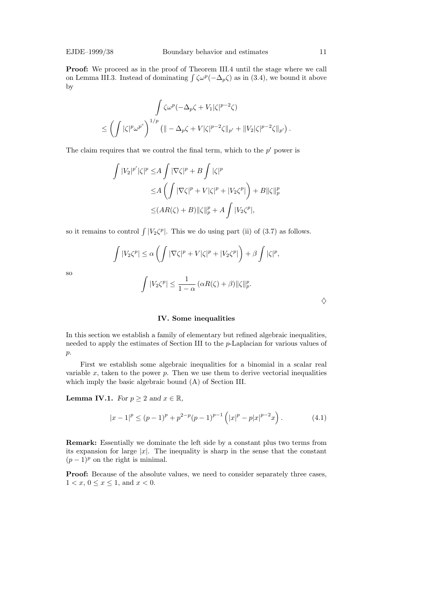Proof: We proceed as in the proof of Theorem III.4 until the stage where we call on Lemma III.3. Instead of dominating  $\int \zeta \omega^p(-\Delta_p \zeta)$  as in (3.4), we bound it above by

$$
\int \zeta \omega^p (-\Delta_p \zeta + V_1 |\zeta|^{p-2} \zeta)
$$
  

$$
\leq \left( \int |\zeta|^p \omega^{p^c} \right)^{1/p} \left( \|\omega - \Delta_p \zeta + V |\zeta|^{p-2} \zeta \|_{p'} + \|V_2 |\zeta|^{p-2} \zeta \|_{p'} \right).
$$

The claim requires that we control the final term, which to the  $p'$  power is

$$
\int |V_2|^{p'} |\zeta|^p \le A \int |\nabla \zeta|^p + B \int |\zeta|^p
$$
  
\n
$$
\le A \left( \int |\nabla \zeta|^p + V |\zeta|^p + |V_2 \zeta^p| \right) + B ||\zeta||_p^p
$$
  
\n
$$
\le (AR(\zeta) + B) ||\zeta||_p^p + A \int |V_2 \zeta^p|,
$$

so it remains to control  $\int |V_2\zeta^p|$ . This we do using part (ii) of (3.7) as follows.

$$
\int |V_2\zeta^p| \le \alpha \left( \int |\nabla \zeta|^p + V|\zeta|^p + |V_2\zeta^p| \right) + \beta \int |\zeta|^p,
$$
  

$$
\int |V_2\zeta^p| \le \frac{1}{1-\alpha} \left( \alpha R(\zeta) + \beta \right) ||\zeta||_p^p.
$$

so

### IV. Some inequalities

In this section we establish a family of elementary but refined algebraic inequalities, needed to apply the estimates of Section III to the p-Laplacian for various values of p.

First we establish some algebraic inequalities for a binomial in a scalar real variable  $x$ , taken to the power  $p$ . Then we use them to derive vectorial inequalities which imply the basic algebraic bound (A) of Section III.

**Lemma IV.1.** For  $p \geq 2$  and  $x \in \mathbb{R}$ ,

$$
|x-1|^p \le (p-1)^p + p^{2-p}(p-1)^{p-1} \left( |x|^p - p|x|^{p-2}x \right). \tag{4.1}
$$

Remark: Essentially we dominate the left side by a constant plus two terms from its expansion for large  $|x|$ . The inequality is sharp in the sense that the constant  $(p-1)^p$  on the right is minimal.

Proof: Because of the absolute values, we need to consider separately three cases,  $1 < x, 0 \le x \le 1$ , and  $x < 0$ .

 $\diamondsuit$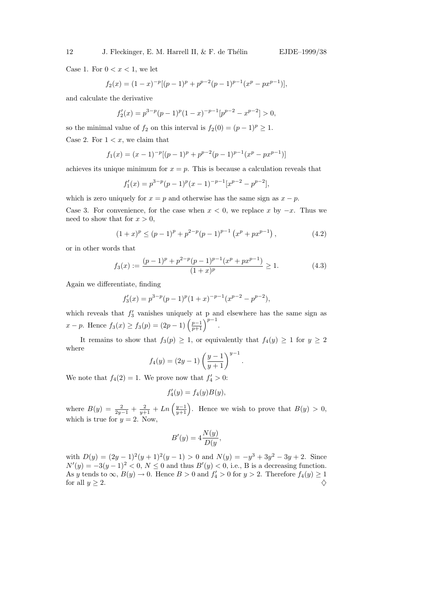Case 1. For  $0 < x < 1$ , we let

$$
f_2(x) = (1-x)^{-p}[(p-1)^p + p^{p-2}(p-1)^{p-1}(x^p - px^{p-1})],
$$

and calculate the derivative

$$
f_2'(x) = p^{3-p}(p-1)^p(1-x)^{-p-1}[p^{p-2} - x^{p-2}] > 0,
$$

so the minimal value of  $f_2$  on this interval is  $f_2(0) = (p-1)^p \geq 1$ . Case 2. For  $1 < x$ , we claim that

$$
f_1(x) = (x-1)^{-p}[(p-1)^p + p^{p-2}(p-1)^{p-1}(x^p - px^{p-1})]
$$

achieves its unique minimum for  $x = p$ . This is because a calculation reveals that

$$
f_1'(x) = p^{3-p}(p-1)^p(x-1)^{-p-1}[x^{p-2} - p^{p-2}],
$$

which is zero uniquely for  $x = p$  and otherwise has the same sign as  $x - p$ .

Case 3. For convenience, for the case when  $x < 0$ , we replace x by  $-x$ . Thus we need to show that for  $x > 0$ ,

$$
(1+x)^p \le (p-1)^p + p^{2-p}(p-1)^{p-1} (x^p + px^{p-1}), \qquad (4.2)
$$

or in other words that

$$
f_3(x) := \frac{(p-1)^p + p^{2-p}(p-1)^{p-1}(x^p + px^{p-1})}{(1+x)^p} \ge 1.
$$
 (4.3)

.

Again we differentiate, finding

$$
f_3'(x) = p^{3-p}(p-1)^p(1+x)^{-p-1}(x^{p-2} - p^{p-2}),
$$

which reveals that  $f_3'$  vanishes uniquely at p and elsewhere has the same sign as  $x - p$ . Hence  $f_3(x) \ge f_3(p) = (2p - 1) \left(\frac{p-1}{p+1}\right)^{p-1}$ .

It remains to show that  $f_3(p) \geq 1$ , or equivalently that  $f_4(y) \geq 1$  for  $y \geq 2$ where

$$
f_4(y) = (2y - 1) \left(\frac{y - 1}{y + 1}\right)^{y - 1}
$$

We note that  $f_4(2) = 1$ . We prove now that  $f'_4 > 0$ :

$$
f_4'(y) = f_4(y)B(y),
$$

where  $B(y) = \frac{2}{2y-1} + \frac{2}{y+1} + Ln\left(\frac{y-1}{y+1}\right)$ . Hence we wish to prove that  $B(y) > 0$ , which is true for  $y = 2$ . Now,

$$
B'(y) = 4\frac{N(y)}{D(y)},
$$

with  $D(y) = (2y-1)^2(y+1)^2(y-1) > 0$  and  $N(y) = -y^3 + 3y^2 - 3y + 2$ . Since  $N'(y) = -3(y-1)^2 < 0, N \le 0$  and thus  $B'(y) < 0$ , i.e., B is a decreasing function. As y tends to  $\infty$ ,  $B(y) \to 0$ . Hence  $B > 0$  and  $f'_4 > 0$  for  $y > 2$ . Therefore  $f_4(y) \ge 1$ for all  $y \geq 2$ .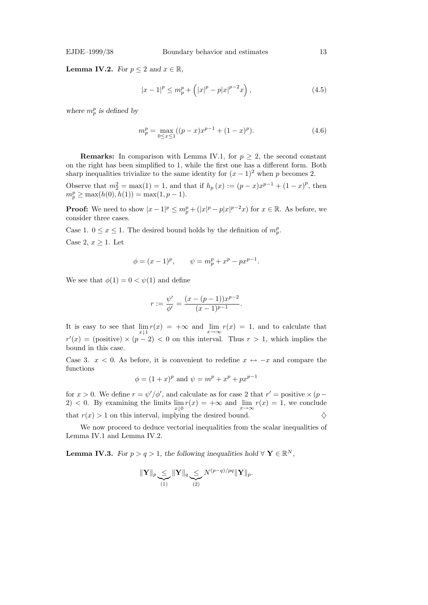**Lemma IV.2.** For  $p \leq 2$  and  $x \in \mathbb{R}$ ,

$$
|x - 1|^p \le m_p^p + (|x|^p - p|x|^{p-2}x), \qquad (4.5)
$$

where  $m_p^p$  is defined by

$$
m_p^p = \max_{0 \le x \le 1} ((p - x)x^{p-1} + (1 - x)^p). \tag{4.6}
$$

**Remarks:** In comparison with Lemma IV.1, for  $p \geq 2$ , the second constant on the right has been simplified to 1, while the first one has a different form. Both sharp inequalities trivialize to the same identity for  $(x - 1)^2$  when p becomes 2.

Observe that  $m_2^2 = \max(1) = 1$ , and that if  $h_p(x) := (p - x)x^{p-1} + (1 - x)^p$ , then  $m_p^p \ge \max(h(0), h(1)) = \max(1, p-1).$ 

**Proof:** We need to show  $|x-1|^p \leq m_p^p + (|x|^p - p|x|^{p-2}x)$  for  $x \in \mathbb{R}$ . As before, we consider three cases.

Case 1.  $0 \le x \le 1$ . The desired bound holds by the definition of  $m_p^p$ .

Case 2,  $x \geq 1$ . Let

$$
\phi = (x - 1)^p
$$
,  $\psi = m_p^p + x^p - px^{p-1}$ .

We see that  $\phi(1) = 0 < \psi(1)$  and define

$$
r := \frac{\psi'}{\phi'} = \frac{(x - (p-1))x^{p-2}}{(x-1)^{p-1}}.
$$

It is easy to see that  $\lim_{x \downarrow 1} r(x) = +\infty$  and  $\lim_{x \to \infty} r(x) = 1$ , and to calculate that  $r'(x) = (positive) \times (p-2) < 0$  on this interval. Thus  $r > 1$ , which implies the bound in this case.

Case 3.  $x < 0$ . As before, it is convenient to redefine  $x \leftrightarrow -x$  and compare the functions

$$
\phi = (1+x)^p
$$
 and  $\psi = m^p + x^p + px^{p-1}$ 

for  $x > 0$ . We define  $r = \psi'/\phi'$ , and calculate as for case 2 that  $r' =$  positive  $\times (p -$ 2) < 0. By examining the limits  $\lim_{x\downarrow 0} r(x) = +\infty$  and  $\lim_{x\to\infty} r(x) = 1$ , we conclude that  $r(x) > 1$  on this interval, implying the desired bound.  $\diamondsuit$ 

We now proceed to deduce vectorial inequalities from the scalar inequalities of Lemma IV.1 and Lemma IV.2.

**Lemma IV.3.** For  $p > q > 1$ , the following inequalities hold  $\forall \mathbf{Y} \in \mathbb{R}^N$ ,

$$
\|\mathbf{Y}\|_{p} \leq \|\mathbf{Y}\|_{q} \leq N^{(p-q)/pq} \|\mathbf{Y}\|_{p}.
$$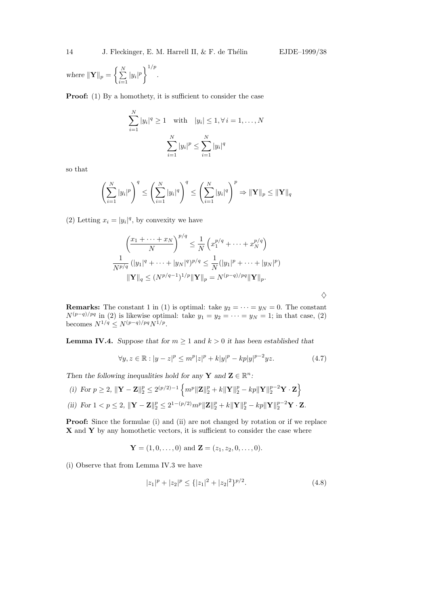where  $\|\mathbf{Y}\|_p = \left\{\sum_{i=1}^N a_i\right\}$  $\sum_{i=1}^{N} |y_i|^p \bigg\}^{1/p}.$ 

Proof: (1) By a homothety, it is sufficient to consider the case

$$
\sum_{i=1}^{N} |y_i|^q \ge 1 \quad \text{with} \quad |y_i| \le 1, \forall i = 1, ..., N
$$

$$
\sum_{i=1}^{N} |y_i|^p \le \sum_{i=1}^{N} |y_i|^q
$$

so that

$$
\left(\sum_{i=1}^{N} |y_i|^p\right)^q \le \left(\sum_{i=1}^{N} |y_i|^q\right)^q \le \left(\sum_{i=1}^{N} |y_i|^q\right)^p \Rightarrow \|\mathbf{Y}\|_p \le \|\mathbf{Y}\|_q
$$

(2) Letting  $x_i = |y_i|^q$ , by convexity we have

$$
\left(\frac{x_1 + \dots + x_N}{N}\right)^{p/q} \le \frac{1}{N} \left(x_1^{p/q} + \dots + x_N^{p/q}\right)
$$
  

$$
\frac{1}{N^{p/q}} \left(|y_1|^q + \dots + |y_N|^q\right)^{p/q} \le \frac{1}{N} (|y_1|^p + \dots + |y_N|^p)
$$
  

$$
\|\mathbf{Y}\|_q \le (N^{p/q-1})^{1/p} \|\mathbf{Y}\|_p = N^{(p-q)/pq} \|\mathbf{Y}\|_p.
$$

 $\Diamond$ 

**Remarks:** The constant 1 in (1) is optimal: take  $y_2 = \cdots = y_N = 0$ . The constant  $N^{(p-q)/pq}$  in (2) is likewise optimal: take  $y_1 = y_2 = \cdots = y_N = 1$ ; in that case, (2) becomes  $N^{1/q} \leq N^{(p-q)/pq} N^{1/p}$ .

**Lemma IV.4.** Suppose that for  $m \geq 1$  and  $k > 0$  it has been established that

$$
\forall y, z \in \mathbb{R} : |y - z|^p \le m^p |z|^p + k |y|^p - kp |y|^{p-2} yz.
$$
 (4.7)

Then the following inequalities hold for any **Y** and  $\mathbf{Z} \in \mathbb{R}^n$ :

(i) For 
$$
p \ge 2
$$
,  $\|\mathbf{Y} - \mathbf{Z}\|_2^p \le 2^{(p/2)-1} \left\{ m^p \|\mathbf{Z}\|_2^p + k \|\mathbf{Y}\|_2^p - kp \|\mathbf{Y}\|_2^{p-2} \mathbf{Y} \cdot \mathbf{Z} \right\}$   
\n(ii) For  $1 < p \le 2$ ,  $\|\mathbf{Y} - \mathbf{Z}\|_2^p \le 2^{1-(p/2)} m^p \|\mathbf{Z}\|_2^p + k \|\mathbf{Y}\|_2^p - kp \|\mathbf{Y}\|_2^{p-2} \mathbf{Y} \cdot \mathbf{Z}$ .

Proof: Since the formulae (i) and (ii) are not changed by rotation or if we replace  $X$  and  $Y$  by any homothetic vectors, it is sufficient to consider the case where

$$
\mathbf{Y} = (1, 0, \dots, 0)
$$
 and  $\mathbf{Z} = (z_1, z_2, 0, \dots, 0)$ .

(i) Observe that from Lemma IV.3 we have

$$
|z_1|^p + |z_2|^p \le \{ |z_1|^2 + |z_2|^2 \}^{p/2}.
$$
\n(4.8)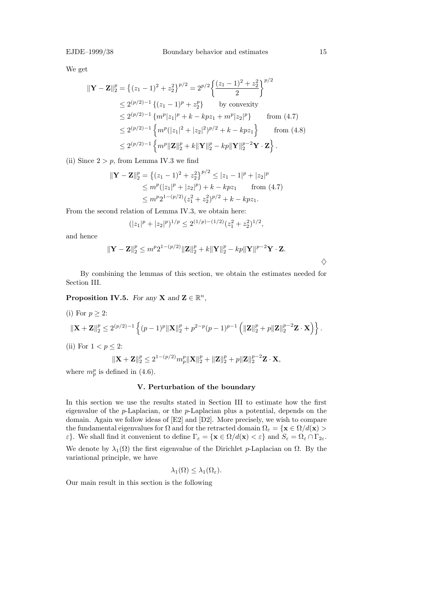We get

$$
\begin{split} \|\mathbf{Y} - \mathbf{Z}\|_{2}^{p} &= \left\{ (z_{1} - 1)^{2} + z_{2}^{2} \right\}^{p/2} = 2^{p/2} \left\{ \frac{(z_{1} - 1)^{2} + z_{2}^{2}}{2} \right\}^{p/2} \\ &\le 2^{(p/2)-1} \left\{ (z_{1} - 1)^{p} + z_{2}^{p} \right\} \qquad \text{by convexity} \\ &\le 2^{(p/2)-1} \left\{ m^{p} |z_{1}|^{p} + k - kpz_{1} + m^{p} |z_{2}|^{p} \right\} \qquad \text{from (4.7)} \\ &\le 2^{(p/2)-1} \left\{ m^{p} (|z_{1}|^{2} + |z_{2}|^{2})^{p/2} + k - kpz_{1} \right\} \qquad \text{from (4.8)} \\ &\le 2^{(p/2)-1} \left\{ m^{p} \|\mathbf{Z}\|_{2}^{p} + k \|\mathbf{Y}\|_{2}^{p} - kp \|\mathbf{Y}\|_{2}^{p-2} \mathbf{Y} \cdot \mathbf{Z} \right\}. \end{split}
$$

(ii) Since  $2 > p$ , from Lemma IV.3 we find

$$
\begin{aligned} \|\mathbf{Y} - \mathbf{Z}\|_{2}^{p} &= \left\{ (z_{1} - 1)^{2} + z_{2}^{2} \right\}^{p/2} \leq |z_{1} - 1|^{p} + |z_{2}|^{p} \\ &\leq m^{p} (|z_{1}|^{p} + |z_{2}|^{p}) + k - kpz_{1} \qquad \text{from (4.7)} \\ &\leq m^{p} 2^{1 - (p/2)} (z_{1}^{2} + z_{2}^{2})^{p/2} + k - kpz_{1}. \end{aligned}
$$

From the second relation of Lemma IV.3, we obtain here:

$$
(|z_1|^p + |z_2|^p)^{1/p} \le 2^{(1/p)-(1/2)}(z_1^2 + z_2^2)^{1/2},
$$

and hence

$$
\|\mathbf{Y}-\mathbf{Z}\|_{2}^{p} \leq m^{p} 2^{1-(p/2)} \|\mathbf{Z}\|_{2}^{p} + k \|\mathbf{Y}\|_{2}^{p} - kp \|\mathbf{Y}\|^{p-2} \mathbf{Y} \cdot \mathbf{Z}.
$$

 $\diamondsuit$ 

By combining the lemmas of this section, we obtain the estimates needed for Section III.

**Proposition IV.5.** For any **X** and  $\mathbf{Z} \in \mathbb{R}^n$ ,

(i) For 
$$
p \ge 2
$$
:  
\n
$$
\|\mathbf{X} + \mathbf{Z}\|_{2}^{p} \le 2^{(p/2)-1} \left\{ (p-1)^{p} \|\mathbf{X}\|_{2}^{p} + p^{2-p} (p-1)^{p-1} \left( \|\mathbf{Z}\|_{2}^{p} + p \|\mathbf{Z}\|_{2}^{p-2} \mathbf{Z} \cdot \mathbf{X} \right) \right\}.
$$

(ii) For  $1 < p \leq 2$ :

$$
\|\mathbf{X} + \mathbf{Z}\|_{2}^{p} \leq 2^{1-(p/2)} m_{p}^{p} \|\mathbf{X}\|_{2}^{p} + \|\mathbf{Z}\|_{2}^{p} + p \|\mathbf{Z}\|_{2}^{p-2} \mathbf{Z} \cdot \mathbf{X},
$$

where  $m_p^p$  is defined in (4.6).

## V. Perturbation of the boundary

In this section we use the results stated in Section III to estimate how the first eigenvalue of the  $p$ -Laplacian, or the  $p$ -Laplacian plus a potential, depends on the domain. Again we follow ideas of [E2] and [D2]. More precisely, we wish to compare the fundamental eigenvalues for  $\Omega$  and for the retracted domain  $\Omega_{\varepsilon} = {\mathbf{x} \in \Omega/d(\mathbf{x})} >$  $\varepsilon$ . We shall find it convenient to define  $\Gamma_{\varepsilon} = {\mathbf{x} \in \Omega/d(\mathbf{x}) < \varepsilon}$  and  $S_{\varepsilon} = \Omega_{\varepsilon} \cap \Gamma_{2\varepsilon}$ .

We denote by  $\lambda_1(\Omega)$  the first eigenvalue of the Dirichlet p-Laplacian on  $\Omega$ . By the variational principle, we have

$$
\lambda_1(\Omega) \leq \lambda_1(\Omega_{\varepsilon}).
$$

Our main result in this section is the following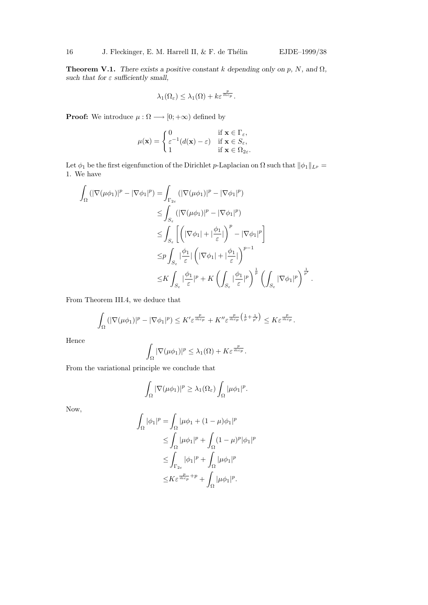**Theorem V.1.** There exists a positive constant k depending only on p, N, and  $\Omega$ , such that for  $\varepsilon$  sufficiently small,

$$
\lambda_1(\Omega_{\varepsilon}) \leq \lambda_1(\Omega) + k \varepsilon^{\frac{p}{\hat{m}c_p}}.
$$

**Proof:** We introduce  $\mu : \Omega \longrightarrow [0; +\infty)$  defined by

$$
\mu(\mathbf{x}) = \begin{cases} 0 & \text{if } \mathbf{x} \in \Gamma_{\varepsilon}, \\ \varepsilon^{-1}(d(\mathbf{x}) - \varepsilon) & \text{if } \mathbf{x} \in S_{\varepsilon}, \\ 1 & \text{if } \mathbf{x} \in \Omega_{2\varepsilon}. \end{cases}
$$

Let  $\phi_1$  be the first eigenfunction of the Dirichlet p-Laplacian on  $\Omega$  such that  $\|\phi_1\|_{L^p} =$ 1. We have

$$
\int_{\Omega} \left( |\nabla(\mu \phi_1)|^p - |\nabla \phi_1|^p \right) = \int_{\Gamma_{2\varepsilon}} \left( |\nabla(\mu \phi_1)|^p - |\nabla \phi_1|^p \right)
$$
\n
$$
\leq \int_{S_{\varepsilon}} \left( |\nabla(\mu \phi_1)|^p - |\nabla \phi_1|^p \right)
$$
\n
$$
\leq \int_{S_{\varepsilon}} \left[ \left( |\nabla \phi_1| + |\frac{\phi_1}{\varepsilon}| \right)^p - |\nabla \phi_1|^p \right]
$$
\n
$$
\leq p \int_{S_{\varepsilon}} |\frac{\phi_1}{\varepsilon}| \left( |\nabla \phi_1| + |\frac{\phi_1}{\varepsilon}| \right)^{p-1}
$$
\n
$$
\leq K \int_{S_{\varepsilon}} |\frac{\phi_1}{\varepsilon}|^p + K \left( \int_{S_{\varepsilon}} |\frac{\phi_1}{\varepsilon}|^p \right)^{\frac{1}{p}} \left( \int_{S_{\varepsilon}} |\nabla \phi_1|^p \right)^{\frac{1}{p'}}.
$$

From Theorem III.4, we deduce that

$$
\int_{\Omega} \left( |\nabla (\mu \phi_1)|^p - |\nabla \phi_1|^p \right) \leq K' \varepsilon^{\frac{p}{\hat{m}c_p}} + K'' \varepsilon^{\frac{p}{\hat{m}c_p} \left( \frac{1}{p} + \frac{1}{p'} \right)} \leq K \varepsilon^{\frac{p}{\hat{m}c_p}}.
$$

Hence

$$
\int_{\Omega} |\nabla (\mu \phi_1)|^p \leq \lambda_1(\Omega) + K \varepsilon^{\frac{p}{\hat{m}c_p}}.
$$

From the variational principle we conclude that

$$
\int_{\Omega} |\nabla(\mu \phi_1)|^p \geq \lambda_1(\Omega_{\varepsilon}) \int_{\Omega} |\mu \phi_1|^p.
$$

Now,

$$
\int_{\Omega} |\phi_1|^p = \int_{\Omega} |\mu \phi_1 + (1 - \mu)\phi_1|^p
$$
  
\n
$$
\leq \int_{\Omega} |\mu \phi_1|^p + \int_{\Omega} (1 - \mu)^p |\phi_1|^p
$$
  
\n
$$
\leq \int_{\Gamma_{2\varepsilon}} |\phi_1|^p + \int_{\Omega} |\mu \phi_1|^p
$$
  
\n
$$
\leq K \varepsilon^{\frac{p}{m c_p} + p} + \int_{\Omega} |\mu \phi_1|^p.
$$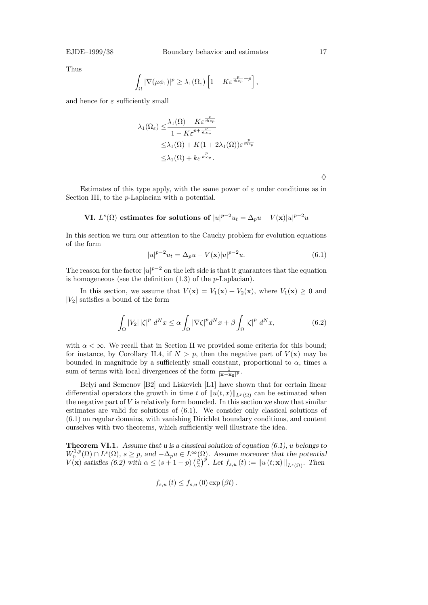Thus

$$
\int_{\Omega} |\nabla(\mu \phi_1)|^p \geq \lambda_1(\Omega_{\varepsilon}) \left[1 - K \varepsilon^{\frac{p}{\hat{m}c_p} + p}\right],
$$

and hence for  $\varepsilon$  sufficiently small

$$
\lambda_1(\Omega_{\varepsilon}) \leq \frac{\lambda_1(\Omega) + K \varepsilon^{\frac{p}{\hat{m}c_p}}}{1 - K \varepsilon^{p + \frac{p}{\hat{m}c_p}}}
$$
  
 
$$
\leq \lambda_1(\Omega) + K(1 + 2\lambda_1(\Omega)) \varepsilon^{\frac{p}{\hat{m}c_p}}
$$
  
 
$$
\leq \lambda_1(\Omega) + k \varepsilon^{\frac{p}{\hat{m}c_p}}.
$$

Estimates of this type apply, with the same power of  $\varepsilon$  under conditions as in Section III, to the p-Laplacian with a potential.

VI. 
$$
L^s(\Omega)
$$
 estimates for solutions of  $|u|^{p-2}u_t = \Delta_p u - V(\mathbf{x})|u|^{p-2}u$ 

In this section we turn our attention to the Cauchy problem for evolution equations of the form

$$
|u|^{p-2}u_t = \Delta_p u - V(\mathbf{x})|u|^{p-2}u.
$$
\n(6.1)

The reason for the factor  $|u|^{p-2}$  on the left side is that it guarantees that the equation is homogeneous (see the definition  $(1.3)$  of the *p*-Laplacian).

In this section, we assume that  $V(\mathbf{x}) = V_1(\mathbf{x}) + V_2(\mathbf{x})$ , where  $V_1(\mathbf{x}) \geq 0$  and  $|V_2|$  satisfies a bound of the form

$$
\int_{\Omega} |V_2| \left| \zeta \right|^p d^N x \le \alpha \int_{\Omega} |\nabla \zeta|^p d^N x + \beta \int_{\Omega} |\zeta|^p d^N x,\tag{6.2}
$$

with  $\alpha < \infty$ . We recall that in Section II we provided some criteria for this bound; for instance, by Corollary II.4, if  $N > p$ , then the negative part of  $V(\mathbf{x})$  may be bounded in magnitude by a sufficiently small constant, proportional to  $\alpha$ , times a sum of terms with local divergences of the form  $\frac{1}{|\mathbf{x}-\mathbf{x_0}|^p}$ .

Belyi and Semenov [B2] and Liskevich [L1] have shown that for certain linear differential operators the growth in time t of  $||u(t, x)||_{L^p(\Omega)}$  can be estimated when the negative part of  $V$  is relatively form bounded. In this section we show that similar estimates are valid for solutions of (6.1). We consider only classical solutions of (6.1) on regular domains, with vanishing Dirichlet boundary conditions, and content ourselves with two theorems, which sufficiently well illustrate the idea.

**Theorem VI.1.** Assume that u is a classical solution of equation  $(6.1)$ , u belongs to  $W_0^{1,p}$  $L_0^{1,p}(\Omega) \cap L^s(\Omega)$ ,  $s \geq p$ , and  $-\Delta_p u \in L^{\infty}(\Omega)$ . Assume moreover that the potential  $V(\mathbf{x})$  satisfies (6.2) with  $\alpha \leq (s+1-p)$  ( $\frac{p}{s}$ )  $\sum_{s=1}^{\infty}$ )<sup>p'</sup>. Let  $f_{s,u}(t) := ||u(t; \mathbf{x})||_{L^s(\Omega)}$ . Then

$$
f_{s,u}(t) \le f_{s,u}(0) \exp(\beta t).
$$

 $\Diamond$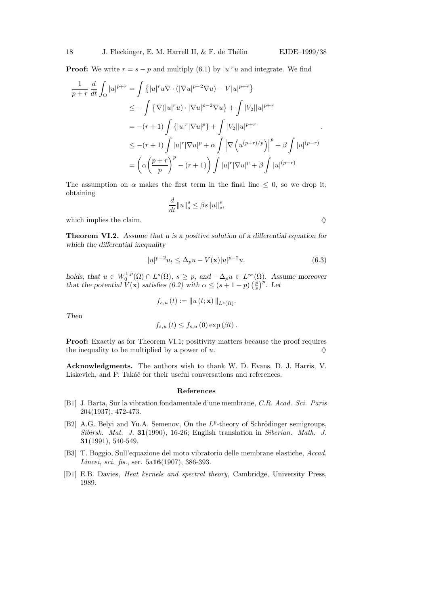**Proof:** We write  $r = s - p$  and multiply (6.1) by  $|u|^r u$  and integrate. We find

$$
\frac{1}{p+r} \frac{d}{dt} \int_{\Omega} |u|^{p+r} = \int \left\{ |u|^r u \nabla \cdot (|\nabla u|^{p-2} \nabla u) - V|u|^{p+r} \right\}
$$
  
\n
$$
\leq - \int \left\{ \nabla (|u|^r u) \cdot |\nabla u|^{p-2} \nabla u \right\} + \int |V_2||u|^{p+r}
$$
  
\n
$$
= -(r+1) \int \left\{ |u|^r |\nabla u|^p \right\} + \int |V_2||u|^{p+r}
$$
  
\n
$$
\leq -(r+1) \int |u|^r |\nabla u|^p + \alpha \int \left| \nabla \left( u^{(p+r)/p} \right) \right|^p + \beta \int |u|^{(p+r)}
$$
  
\n
$$
= \left( \alpha \left( \frac{p+r}{p} \right)^p - (r+1) \right) \int |u|^r |\nabla u|^p + \beta \int |u|^{(p+r)}
$$

The assumption on  $\alpha$  makes the first term in the final line  $\leq 0$ , so we drop it, obtaining

$$
\frac{d}{dt}||u||_s^s \le \beta s ||u||_s^s,
$$

which implies the claim.  $\Diamond$ 

Theorem VI.2. Assume that u is a positive solution of a differential equation for which the differential inequality

$$
|u|^{p-2}u_t \le \Delta_p u - V(\mathbf{x})|u|^{p-2}u. \tag{6.3}
$$

holds, that  $u \in W_0^{1,p}$  $L_0^{1,p}(\Omega) \cap L^s(\Omega)$ ,  $s \geq p$ , and  $-\Delta_p u \in L^\infty(\Omega)$ . Assume moreover that the potential  $V(\mathbf{x})$  satisfies (6.2) with  $\alpha \leq (s+1-p)$  ( $\frac{p}{s}$ )  $(\frac{p}{s})^p$ . Let

$$
f_{s,u}(t) := \|u(t; \mathbf{x})\|_{L^s(\Omega)}.
$$

Then

$$
f_{s,u}(t) \le f_{s,u}(0) \exp(\beta t).
$$

Proof: Exactly as for Theorem VI.1; positivity matters because the proof requires the inequality to be multiplied by a power of u.  $\diamondsuit$ 

Acknowledgments. The authors wish to thank W. D. Evans, D. J. Harris, V. Liskevich, and P. Takáč for their useful conversations and references.

### References

- [B1] J. Barta, Sur la vibration fondamentale d'une membrane, C.R. Acad. Sci. Paris 204(1937), 472-473.
- [B2] A.G. Belyi and Yu.A. Semenov, On the  $L^p$ -theory of Schrödinger semigroups, Sibirsk. Mat. J. 31(1990), 16-26; English translation in Siberian. Math. J. 31(1991), 540-549.
- [B3] T. Boggio, Sull'equazione del moto vibratorio delle membrane elastiche, Accad. Lincei, sci. fis., ser. 5a**16**(1907), 386-393.
- [D1] E.B. Davies, Heat kernels and spectral theory, Cambridge, University Press, 1989.